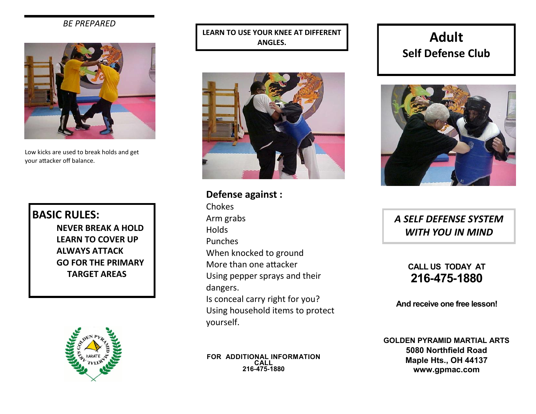## *BE PREPARED*



Low kicks are used to break holds and get your attacker off balance.

## **BASIC RULES:**

**NEVER BREAK A HOLD LEARN TO COVER UP ALWAYS ATTACK GO FOR THE PRIMARY TARGET AREAS**



**LEARN TO USE YOUR KNEE AT DIFFERENT ANGLES.**



**Defense against :**

Chokes Arm grabs Holds Punches When knocked to ground More than one attacker Using pepper sprays and their dangers. Is conceal carry right for you? Using household items to protect yourself.

**FOR ADDITIONAL INFORMATION CALL 216-475-1880**

## **Adult Self Defense Club**



*A SELF DEFENSE SYSTEM WITH YOU IN MIND*

> **CALL US TODAY AT 216-475-1880**

**And receive one free lesson!**

**GOLDEN PYRAMID MARTIAL ARTS 5080 Northfield Road Maple Hts., OH 44137 www.gpmac.com**